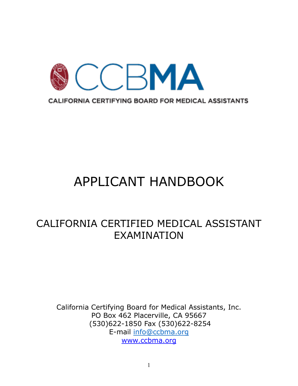

# APPLICANT HANDBOOK

# CALIFORNIA CERTIFIED MEDICAL ASSISTANT EXAMINATION

California Certifying Board for Medical Assistants, Inc. PO Box 462 Placerville, CA 95667 (530)622-1850 Fax (530)622-8254 E-mail [info@ccbma.org](mailto:info@ccbma.org) www.ccbma.org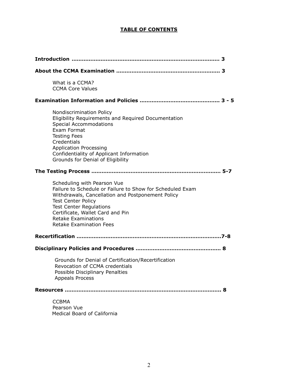# **TABLE OF CONTENTS**

| What is a CCMA?<br><b>CCMA Core Values</b>                                                                                                                                                                                                                                                                       |   |
|------------------------------------------------------------------------------------------------------------------------------------------------------------------------------------------------------------------------------------------------------------------------------------------------------------------|---|
|                                                                                                                                                                                                                                                                                                                  |   |
| Nondiscrimination Policy<br>Eligibility Requirements and Required Documentation<br><b>Special Accommodations</b><br>Exam Format<br><b>Testing Fees</b><br>Credentials<br><b>Application Processing</b><br>Confidentiality of Applicant Information<br>Grounds for Denial of Eligibility                          |   |
|                                                                                                                                                                                                                                                                                                                  |   |
| Scheduling with Pearson Vue<br>Failure to Schedule or Failure to Show for Scheduled Exam<br>Withdrawals, Cancellation and Postponement Policy<br><b>Test Center Policy</b><br><b>Test Center Regulations</b><br>Certificate, Wallet Card and Pin<br><b>Retake Examinations</b><br><b>Retake Examination Fees</b> |   |
|                                                                                                                                                                                                                                                                                                                  |   |
|                                                                                                                                                                                                                                                                                                                  |   |
| Grounds for Denial of Certification/Recertification<br>Revocation of CCMA credentials<br>Possible Disciplinary Penalties<br><b>Appeals Process</b>                                                                                                                                                               |   |
| Resources …………………………………………………………………………………                                                                                                                                                                                                                                                                        | 8 |
| <b>CCBMA</b><br>Pearson Vue<br>Medical Board of California                                                                                                                                                                                                                                                       |   |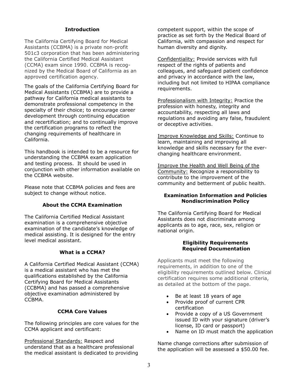# **Introduction**

The California Certifying Board for Medical Assistants (CCBMA) is a private non-profit 501c3 corporation that has been administering the California Certified Medical Assistant (CCMA) exam since 1990. CCBMA is recognized by the Medical Board of California as an approved certification agency.

The goals of the California Certifying Board for Medical Assistants (CCBMA) are to provide a pathway for California medical assistants to demonstrate professional competency in the specialty of their choice; to encourage career development through continuing education and recertification; and to continually improve the certification programs to reflect the changing requirements of healthcare in California.

This handbook is intended to be a resource for understanding the CCBMA exam application and testing process. It should be used in conjunction with other information available on the CCBMA website.

Please note that CCBMA policies and fees are subject to change without notice.

# **About the CCMA Examination**

The California Certified Medical Assistant examination is a comprehensive objective examination of the candidate's knowledge of medical assisting. It is designed for the entry level medical assistant.

#### **What is a CCMA?**

A California Certified Medical Assistant (CCMA) is a medical assistant who has met the qualifications established by the California Certifying Board for Medical Assistants (CCBMA) and has passed a comprehensive objective examination administered by CCBMA.

#### **CCMA Core Values**

The following principles are core values for the CCMA applicant and certificant:

Professional Standards: Respect and understand that as a healthcare professional the medical assistant is dedicated to providing competent support, within the scope of practice as set forth by the Medical Board of California, with compassion and respect for human diversity and dignity.

Confidentiality: Provide services with full respect of the rights of patients and colleagues, and safeguard patient confidence and privacy in accordance with the law, including but not limited to HIPAA compliance requirements.

Professionalism with Integrity: Practice the profession with honesty, integrity and accountability, respecting all laws and regulations and avoiding any false, fraudulent or deceptive activities.

Improve Knowledge and Skills: Continue to learn, maintaining and improving all knowledge and skills necessary for the everchanging healthcare environment.

Improve the Health and Well Being of the Community: Recognize a responsibility to contribute to the improvement of the community and betterment of public health.

# **Examination Information and Policies Nondiscrimination Policy**

The California Certifying Board for Medical Assistants does not discriminate among applicants as to age, race, sex, religion or national origin.

#### **Eligibility Requirements Required Documentation**

Applicants must meet the following requirements, in addition to one of the eligibility requirements outlined below. Clinical certification requires some additional criteria, as detailed at the bottom of the page.

- Be at least 18 years of age
- Provide proof of current CPR certification
- Provide a copy of a US Government issued ID with your signature (driver's license, ID card or passport)
- Name on ID must match the application

Name change corrections after submission of the application will be assessed a \$50.00 fee.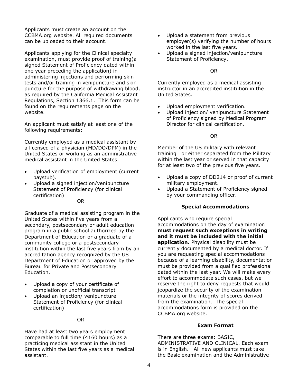Applicants must create an account on the CCBMA.org website. All required documents can be uploaded to their account.

Applicants applying for the Clinical specialty examination, must provide proof of training(a signed Statement of Proficiency dated within one year preceding the application) in administering injections and performing skin tests and/or training in venipuncture and skin puncture for the purpose of withdrawing blood, as required by the California Medical Assistant Regulations, Section 1366.1. This form can be found on the requirements page on the website.

An applicant must satisfy at least one of the following requirements:

Currently employed as a medical assistant by a licensed of a physician (MD/DO/DPM) in the United States or working as an administrative medical assistant in the United States.

- Upload verification of employment (current paystub).
- Upload a signed injection/venipuncture Statement of Proficiency (for clinical certification)

OR

Graduate of a medical assisting program in the United States within five years from a secondary, postsecondary or adult education program in a public school authorized by the Department of Education or a graduate of a community college or a postsecondary institution within the last five years from by an accreditation agency recognized by the US Department of Education or approved by the Bureau for Private and Postsecondary Education.

- Upload a copy of your certificate of completion or unofficial transcript
- Upload an injection/ venipuncture Statement of Proficiency (for clinical certification)

# OR

Have had at least two years employment comparable to full time (4160 hours) as a practicing medical assistant in the United States within the last five years as a medical assistant.

- Upload a statement from previous employer(s) verifying the number of hours worked in the last five years.
- Upload a signed injection/venipuncture Statement of Proficiency.

OR

Currently employed as a medical assisting instructor in an accredited institution in the United States.

- Upload employment verification.
- Upload injection/ venipuncture Statement of Proficiency signed by Medical Program Director for clinical certification.

OR

Member of the US military with relevant training or either separated from the Military within the last year or served in that capacity for at least two of the previous five years.

- Upload a copy of DD214 or proof of current military employment.
- Upload a Statement of Proficiency signed by your commanding officer.

# **Special Accommodations**

Applicants who require special accommodations on the day of examination **must request such exceptions in writing and it must be included with the initial application.** Physical disability must be currently documented by a medical doctor. If you are requesting special accommodations because of a learning disability, documentation must be provided from a qualified professional dated within the last year. We will make every effort to accommodate such cases, but we reserve the right to deny requests that would jeopardize the security of the examination materials or the integrity of scores derived from the examination. The special accommodations form is provided on the CCBMA.org website.

# **Exam Format**

There are three exams: BASIC, ADMINISTRATIVE AND CLINICAL. Each exam is in English. All new applicants must take the Basic examination and the Administrative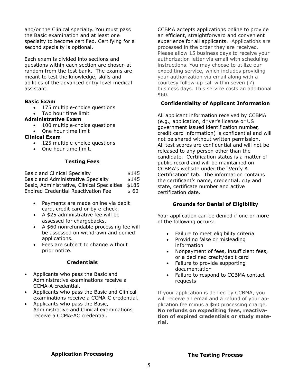and/or the Clinical specialty. You must pass the Basic examination and at least one specialty to become certified. Certifying for a second specialty is optional.

Each exam is divided into sections and questions within each section are chosen at random from the test bank. The exams are meant to test the knowledge, skills and abilities of the advanced entry level medical assistant.

# **Basic Exam**

- 175 multiple-choice questions
- Two hour time limit

# **Administrative Exam**

- 100 multiple-choice questions
- One hour time limit

# **Clinical Exam**

- 125 multiple-choice questions
- One hour time limit.

# **Testing Fees**

| <b>Basic and Clinical Specialty</b>         | \$145 |
|---------------------------------------------|-------|
| Basic and Administrative Specialty          | \$145 |
| Basic, Administrative, Clinical Specialties | \$185 |
| <b>Expired Credential Reactivation Fee</b>  | \$ 60 |

- Payments are made online via debit card, credit card or by e-check.
- A \$25 administrative fee will be assessed for chargebacks.
- A \$60 nonrefundable processing fee will be assessed on withdrawn and denied applications.
- Fees are subject to change without prior notice.

# **Credentials**

- Applicants who pass the Basic and Administrative examinations receive a CCMA-A credential.
- Applicants who pass the Basic and Clinical examinations receive a CCMA-C credential.
- Applicants who pass the Basic, Administrative and Clinical examinations receive a CCMA-AC credential.

CCBMA accepts applications online to provide an efficient, straightforward and convenient experience for all applicants. Applications are processed in the order they are received. Please allow 15 business days to receive your authorization letter via email with scheduling instructions. You may choose to utilize our expediting service, which includes providing your authorization via email along with a courtesy follow-up call within seven (7) business days. This service costs an additional \$60.

# **Confidentiality of Applicant Information**

All applicant information received by CCBMA (e.g., application, driver's license or US government issued identification number, credit card information) is confidential and will not be shared without written permission. All test scores are confidential and will not be released to any person other than the candidate. Certification status is a matter of public record and will be maintained on CCBMA's website under the "Verify A Certification" tab. The information contains the certificant's name, credential, city and state, certificate number and active certification date.

# **Grounds for Denial of Eligibility**

Your application can be denied if one or more of the following occurs:

- Failure to meet eligibility criteria
- Providing false or misleading information
- Nonpayment of fees, insufficient fees, or a declined credit/debit card
- Failure to provide supporting documentation
- Failure to respond to CCBMA contact requests

If your application is denied by CCBMA, you will receive an email and a refund of your application fee minus a \$60 processing charge. **No refunds on expediting fees, reactivation of expired credentials or study material.**

# **Application Processing**

# **The Testing Process**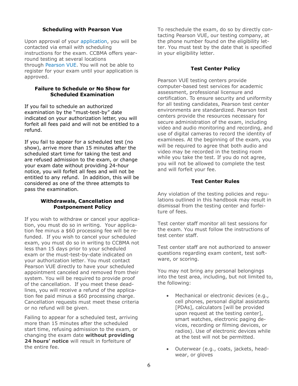# **Scheduling with Pearson Vue**

Upon approval of your [application,](https://ccbma.org/certification/application/) you will be contacted via email with scheduling instructions for the exam. CCBMA offers yearround testing at several locations through [Pearson VUE.](https://home.pearsonvue.com/ccbma) You will not be able to register for your exam until your application is approved.

#### **Failure to Schedule or No Show for Scheduled Examination**

If you fail to schedule an authorized examination by the "must-test-by" date indicated on your authorization letter, you will forfeit all fees paid and will not be entitled to a refund.

If you fail to appear for a scheduled test (no show), arrive more than 15 minutes after the scheduled start time for taking the test and are refused admission to the exam, or change your exam date without providing 24-hour notice, you will forfeit all fees and will not be entitled to any refund. In addition, this will be considered as one of the three attempts to pass the examination.

# **Withdrawals, Cancellation and Postponement Policy**

If you wish to withdraw or cancel your application, you must do so in writing. Your application fee minus a \$60 processing fee will be refunded. If you wish to cancel your scheduled exam, you must do so in writing to CCBMA not less than 15 days prior to your scheduled exam or the must-test-by-date indicated on your authorization letter. You must contact Pearson VUE directly to have your scheduled appointment canceled and removed from their system. You will be required to provide proof of the cancellation. If you meet these deadlines, you will receive a refund of the application fee paid minus a \$60 processing charge. Cancellation requests must meet these criteria or no refund will be given.

Failing to appear for a scheduled test, arriving more than 15 minutes after the scheduled start time, refusing admission to the exam, or changing the exam date **without providing**  24 hours' notice will result in forfeiture of the entire fee.

To reschedule the exam, do so by directly contacting Pearson VUE, our testing company, at the phone number found on the eligibility letter. You must test by the date that is specified in your eligibility letter.

# **Test Center Policy**

Pearson VUE testing centers provide computer-based test services for academic assessment, professional licensure and certification. To ensure security and uniformity for all testing candidates, Pearson test center environments are standardized. Pearson test centers provide the resources necessary for secure administration of the exam, including video and audio monitoring and recording, and use of digital cameras to record the identity of examinees. At the beginning of the exam, you will be required to agree that both audio and video may be recorded in the testing room while you take the test. If you do not agree, you will not be allowed to complete the test and will forfeit your fee.

# **Test Center Rules**

Any violation of the testing policies and regulations outlined in this handbook may result in dismissal from the testing center and forfeiture of fees.

Test center staff monitor all test sessions for the exam. You must follow the instructions of test center staff.

Test center staff are not authorized to answer questions regarding exam content, test software, or scoring.

You may not bring any personal belongings into the test area, including, but not limited to, the following:

- Mechanical or electronic devices (e.g., cell phones, personal digital assistants [PDAs], calculators [will be provided upon request at the testing center], smart watches, electronic paging devices, recording or filming devices, or radios). Use of electronic devices while at the test will not be permitted.
- Outerwear (e.g., coats, jackets, headwear, or gloves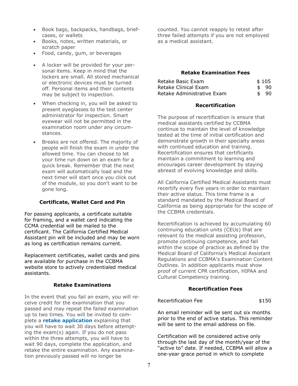- Book bags, backpacks, handbags, briefcases, or wallets
- Books, notes, written materials, or scratch paper
- Food, candy, gum, or beverages
- A locker will be provided for your personal items. Keep in mind that the lockers are small. All stored mechanical or electronic devices must be turned off. Personal items and their contents may be subject to inspection.
- When checking in, you will be asked to present eyeglasses to the test center administrator for inspection. Smart eyewear will not be permitted in the examination room under any circumstances.
- Breaks are not offered. The majority of people will finish the exam in under the allowed time. You can choose to let your time run down on an exam for a quick break. Remember that the next exam will automatically load and the next timer will start once you click out of the module, so you don't want to be gone long.

# **Certificate, Wallet Card and Pin**

For passing applicants, a certificate suitable for framing, and a wallet card indicating the CCMA credential will be mailed to the certificant. The California Certified Medical Assistant pin will be included and may be worn as long as certification remains current.

Replacement certificates, wallet cards and pins are available for purchase in the CCBMA website store to actively credentialed medical assistants.

# **Retake Examinations**

In the event that you fail an exam, you will receive credit for the examination that you passed and may repeat the failed examination up to two times. You will be invited to complete a **[retake application](https://ccbma.z2systems.com/survey.jsp?surveyId=5&)** explaining that you will have to wait 30 days before attempting the exam(s) again. If you do not pass within the three attempts, you will have to wait 90 days, complete the application, and retake the entire examination. Any examination previously passed will no longer be

counted. You cannot reapply to retest after three failed attempts if you are not employed as a medical assistant.

# **Retake Examination Fees**

| Retake Basic Exam          | \$105 |
|----------------------------|-------|
| Retake Clinical Exam       | \$90  |
| Retake Administrative Exam | \$90  |

#### **Recertification**

The purpose of recertification is ensure that medical assistants certified by CCBMA continue to maintain the level of knowledge tested at the time of initial certification and demonstrate growth in their specialty areas with continued education and training. Recertification ensures that certificants maintain a commitment to learning and encourages career development by staying abreast of evolving knowledge and skills.

All California Certified Medical Assistants must recertify every five years in order to maintain their active status. This time frame is a standard mandated by the Medical Board of California as being appropriate for the scope of the CCBMA credentials.

Recertification is achieved by accumulating 60 continuing education units (CEUs) that are relevant to the medical assisting profession, promote continuing competence, and fall within the scope of practice as defined by the Medical Board of California's Medical Assistant Regulations and CCBMA's Examination Content Outlines. In addition applicants must show proof of current CPR certification, HIPAA and Cultural Competency training.

# **Recertification Fees**

#### Recertification Fee \$150

An email reminder will be sent out six months prior to the end of active status. This reminder will be sent to the email address on file.

Certification will be considered active only through the last day of the month/year of the "active to" date. If needed, CCBMA will allow a one-year grace period in which to complete